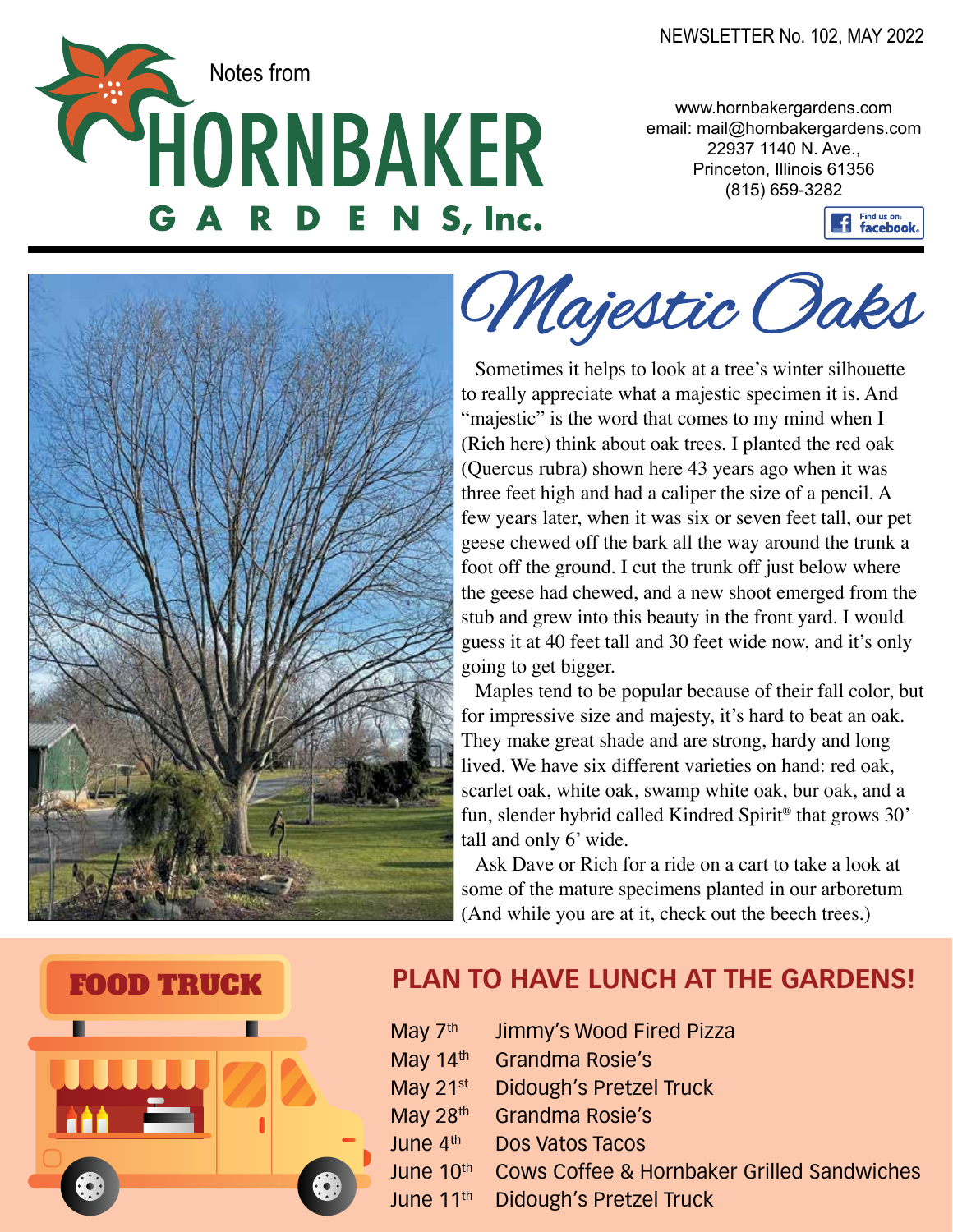**CER Notes from** E N S, Inc.

www.hornbakergardens.com email: mail@hornbakergardens.com 22937 1140 N. Ave., Princeton, Illinois 61356 (815) 659-3282





Majestic Oaks

Sometimes it helps to look at a tree's winter silhouette to really appreciate what a majestic specimen it is. And "majestic" is the word that comes to my mind when I (Rich here) think about oak trees. I planted the red oak (Quercus rubra) shown here 43 years ago when it was three feet high and had a caliper the size of a pencil. A few years later, when it was six or seven feet tall, our pet geese chewed off the bark all the way around the trunk a foot off the ground. I cut the trunk off just below where the geese had chewed, and a new shoot emerged from the stub and grew into this beauty in the front yard. I would guess it at 40 feet tall and 30 feet wide now, and it's only going to get bigger.

Maples tend to be popular because of their fall color, but for impressive size and majesty, it's hard to beat an oak. They make great shade and are strong, hardy and long lived. We have six different varieties on hand: red oak, scarlet oak, white oak, swamp white oak, bur oak, and a fun, slender hybrid called Kindred Spirit® that grows 30' tall and only 6' wide.

Ask Dave or Rich for a ride on a cart to take a look at some of the mature specimens planted in our arboretum (And while you are at it, check out the beech trees.)



#### FOOD TRUCK **PLAN TO HAVE LUNCH AT THE GARDENS!**

May 7<sup>th</sup> Jimmy's Wood Fired Pizza May 14<sup>th</sup> Grandma Rosie's May 21<sup>st</sup> Didough's Pretzel Truck May 28<sup>th</sup> Grandma Rosie's June 4th Dos Vatos Tacos June 10th Cows Coffee & Hornbaker Grilled Sandwiches June 11<sup>th</sup> Didough's Pretzel Truck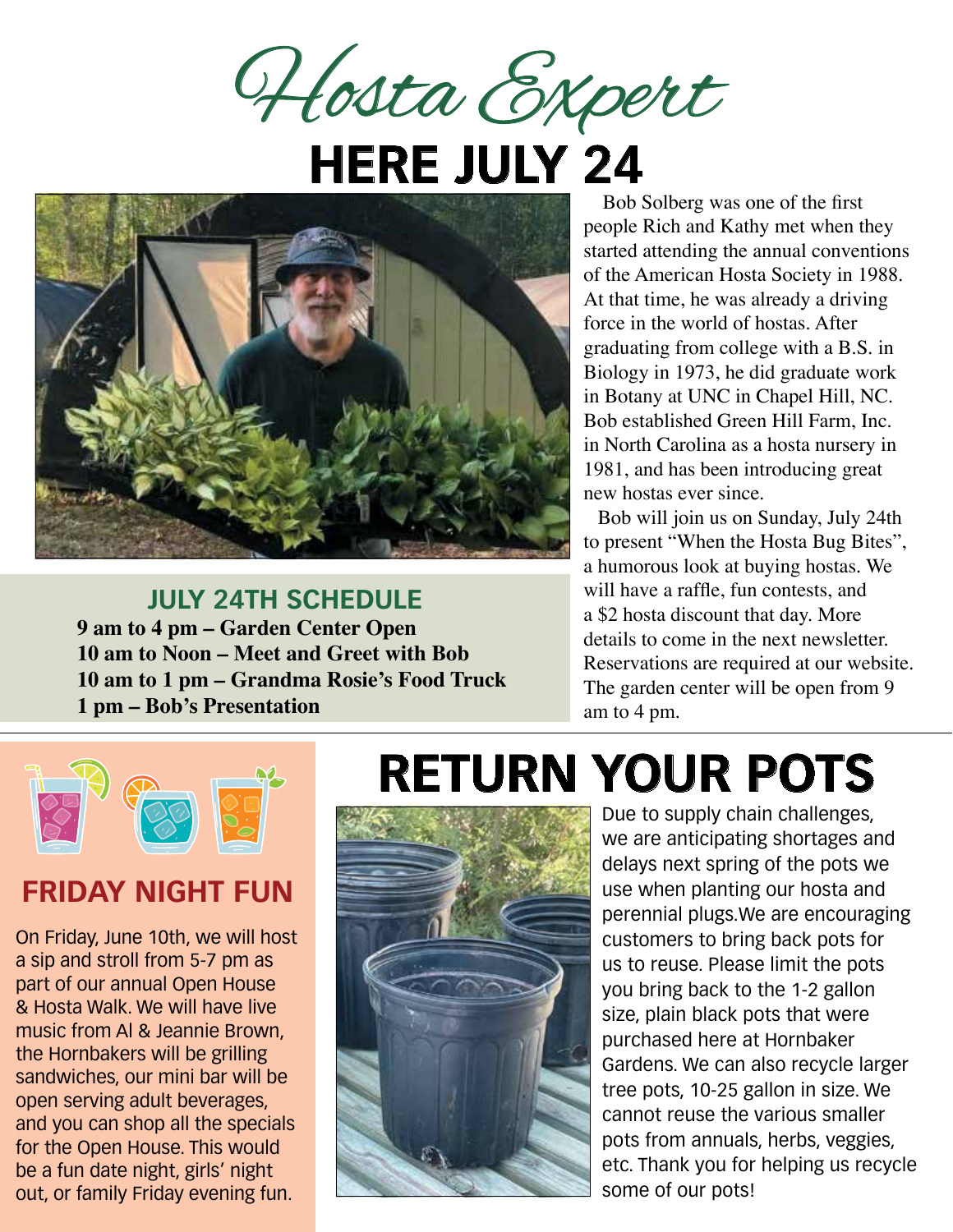Hosta Expert

## **HERE JULY 24**



**JULY 24TH SCHEDULE 9 am to 4 pm – Garden Center Open 10 am to Noon – Meet and Greet with Bob 10 am to 1 pm – Grandma Rosie's Food Truck 1 pm – Bob's Presentation**

 Bob Solberg was one of the first people Rich and Kathy met when they started attending the annual conventions of the American Hosta Society in 1988. At that time, he was already a driving force in the world of hostas. After graduating from college with a B.S. in Biology in 1973, he did graduate work in Botany at UNC in Chapel Hill, NC. Bob established Green Hill Farm, Inc. in North Carolina as a hosta nursery in 1981, and has been introducing great new hostas ever since.

Bob will join us on Sunday, July 24th to present "When the Hosta Bug Bites", a humorous look at buying hostas. We will have a raffle, fun contests, and a \$2 hosta discount that day. More details to come in the next newsletter. Reservations are required at our website. The garden center will be open from 9 am to 4 pm.



#### **FRIDAY NIGHT FUN**

On Friday, June 10th, we will host a sip and stroll from 5-7 pm as part of our annual Open House & Hosta Walk. We will have live music from Al & Jeannie Brown, the Hornbakers will be grilling sandwiches, our mini bar will be open serving adult beverages, and you can shop all the specials for the Open House. This would be a fun date night, girls' night out, or family Friday evening fun.

### **RETURN YOUR POTS**



Due to supply chain challenges, we are anticipating shortages and delays next spring of the pots we use when planting our hosta and perennial plugs.We are encouraging customers to bring back pots for us to reuse. Please limit the pots you bring back to the 1-2 gallon size, plain black pots that were purchased here at Hornbaker Gardens. We can also recycle larger tree pots, 10-25 gallon in size. We cannot reuse the various smaller pots from annuals, herbs, veggies, etc. Thank you for helping us recycle some of our pots!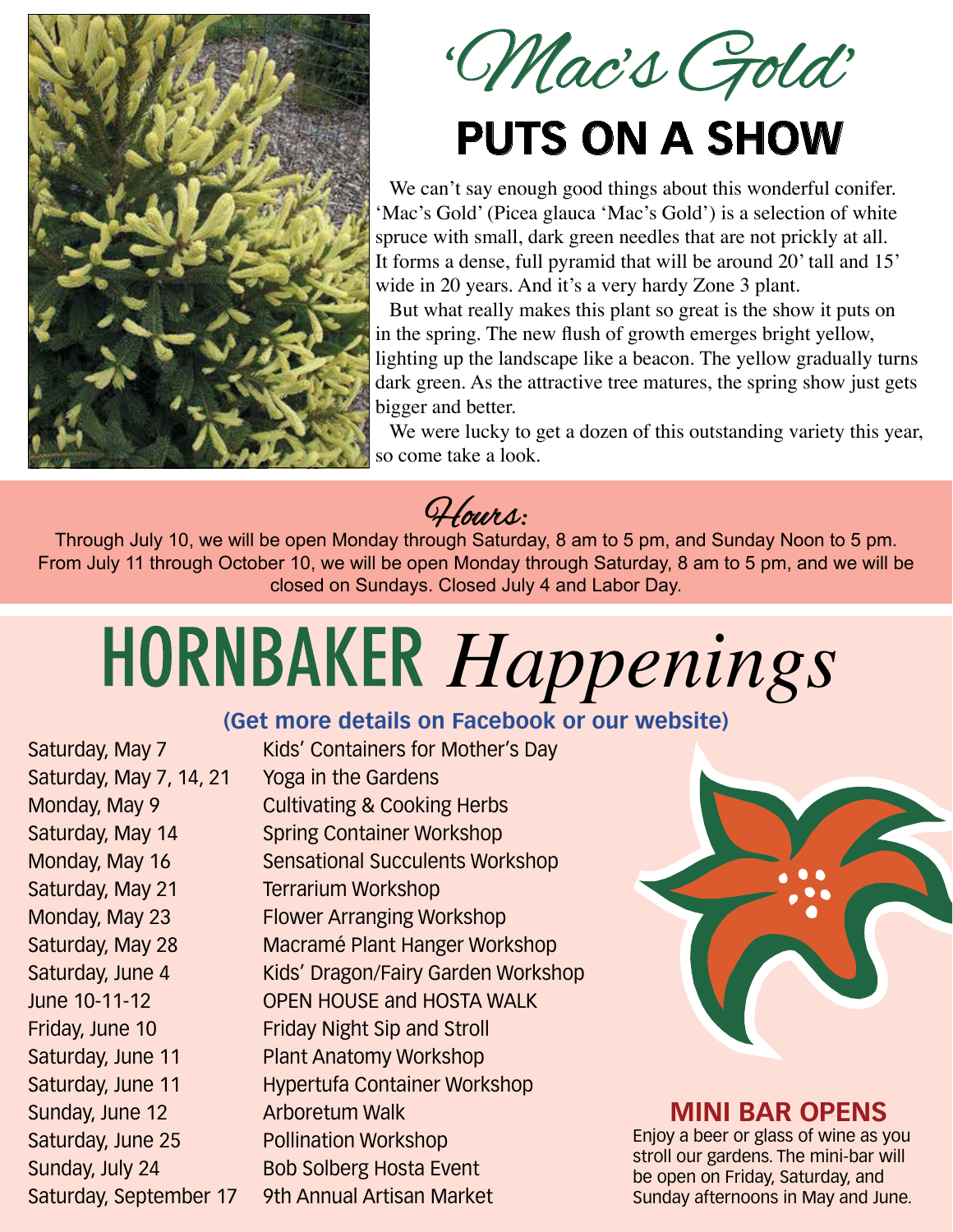

'Mac's Gold' **PUTS ON A SHOW**

We can't say enough good things about this wonderful conifer. 'Mac's Gold' (Picea glauca 'Mac's Gold') is a selection of white spruce with small, dark green needles that are not prickly at all. It forms a dense, full pyramid that will be around 20' tall and 15' wide in 20 years. And it's a very hardy Zone 3 plant.

But what really makes this plant so great is the show it puts on in the spring. The new flush of growth emerges bright yellow, lighting up the landscape like a beacon. The yellow gradually turns dark green. As the attractive tree matures, the spring show just gets bigger and better.

We were lucky to get a dozen of this outstanding variety this year, so come take a look.

Hours:

Through July 10, we will be open Monday through Saturday, 8 am to 5 pm, and Sunday Noon to 5 pm. From July 11 through October 10, we will be open Monday through Saturday, 8 am to 5 pm, and we will be closed on Sundays. Closed July 4 and Labor Day.

# *Happenings*

#### **(Get more details on Facebook or our website)**

Saturday, May 7, 14, 21 Yoga in the Gardens Saturday, May 21 Terrarium Workshop Sunday, June 12 Arboretum Walk

Saturday, May 7 Kids' Containers for Mother's Day Monday, May 9 Cultivating & Cooking Herbs Saturday, May 14 Spring Container Workshop Monday, May 16 Sensational Succulents Workshop Monday, May 23 Flower Arranging Workshop Saturday, May 28 Macramé Plant Hanger Workshop Saturday, June 4 Kids' Dragon/Fairy Garden Workshop June 10-11-12 OPEN HOUSE and HOSTA WALK Friday, June 10 Friday Night Sip and Stroll Saturday, June 11 Plant Anatomy Workshop Saturday, June 11 Hypertufa Container Workshop Saturday, June 25 Pollination Workshop Sunday, July 24 Bob Solberg Hosta Event Saturday, September 17 9th Annual Artisan Market



#### **MINI BAR OPENS**

Enjoy a beer or glass of wine as you stroll our gardens. The mini-bar will be open on Friday, Saturday, and Sunday afternoons in May and June.